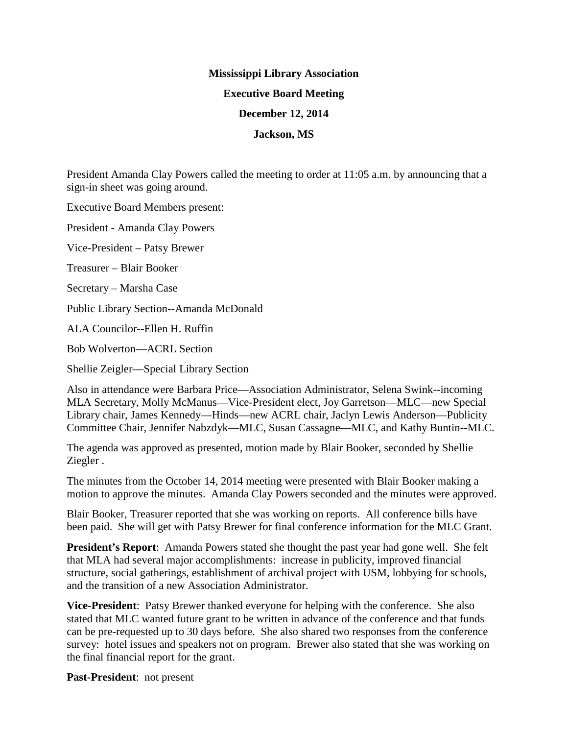## **Mississippi Library Association Executive Board Meeting December 12, 2014 Jackson, MS**

President Amanda Clay Powers called the meeting to order at 11:05 a.m. by announcing that a sign-in sheet was going around.

Executive Board Members present:

President - Amanda Clay Powers

Vice-President – Patsy Brewer

Treasurer – Blair Booker

Secretary – Marsha Case

Public Library Section--Amanda McDonald

ALA Councilor--Ellen H. Ruffin

Bob Wolverton—ACRL Section

Shellie Zeigler—Special Library Section

Also in attendance were Barbara Price—Association Administrator, Selena Swink--incoming MLA Secretary, Molly McManus—Vice-President elect, Joy Garretson—MLC—new Special Library chair, James Kennedy—Hinds—new ACRL chair, Jaclyn Lewis Anderson—Publicity Committee Chair, Jennifer Nabzdyk—MLC, Susan Cassagne—MLC, and Kathy Buntin--MLC.

The agenda was approved as presented, motion made by Blair Booker, seconded by Shellie Ziegler .

The minutes from the October 14, 2014 meeting were presented with Blair Booker making a motion to approve the minutes. Amanda Clay Powers seconded and the minutes were approved.

Blair Booker, Treasurer reported that she was working on reports. All conference bills have been paid. She will get with Patsy Brewer for final conference information for the MLC Grant.

**President's Report**: Amanda Powers stated she thought the past year had gone well. She felt that MLA had several major accomplishments: increase in publicity, improved financial structure, social gatherings, establishment of archival project with USM, lobbying for schools, and the transition of a new Association Administrator.

**Vice-President**: Patsy Brewer thanked everyone for helping with the conference. She also stated that MLC wanted future grant to be written in advance of the conference and that funds can be pre-requested up to 30 days before. She also shared two responses from the conference survey: hotel issues and speakers not on program. Brewer also stated that she was working on the final financial report for the grant.

**Past-President**: not present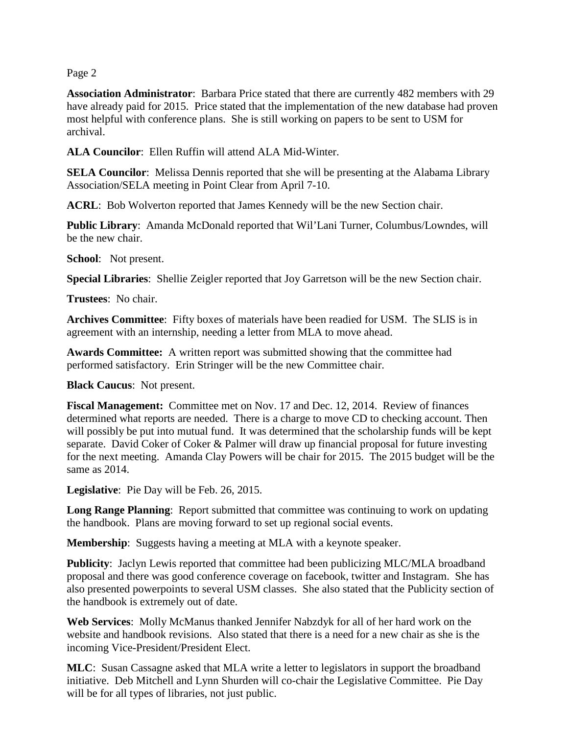Page 2

**Association Administrator**: Barbara Price stated that there are currently 482 members with 29 have already paid for 2015. Price stated that the implementation of the new database had proven most helpful with conference plans. She is still working on papers to be sent to USM for archival.

**ALA Councilor**: Ellen Ruffin will attend ALA Mid-Winter.

**SELA Councilor**: Melissa Dennis reported that she will be presenting at the Alabama Library Association/SELA meeting in Point Clear from April 7-10.

**ACRL**: Bob Wolverton reported that James Kennedy will be the new Section chair.

**Public Library**: Amanda McDonald reported that Wil'Lani Turner, Columbus/Lowndes, will be the new chair.

**School**: Not present.

**Special Libraries**: Shellie Zeigler reported that Joy Garretson will be the new Section chair.

**Trustees**: No chair.

**Archives Committee**: Fifty boxes of materials have been readied for USM. The SLIS is in agreement with an internship, needing a letter from MLA to move ahead.

**Awards Committee:** A written report was submitted showing that the committee had performed satisfactory. Erin Stringer will be the new Committee chair.

**Black Caucus**: Not present.

**Fiscal Management:** Committee met on Nov. 17 and Dec. 12, 2014. Review of finances determined what reports are needed. There is a charge to move CD to checking account. Then will possibly be put into mutual fund. It was determined that the scholarship funds will be kept separate. David Coker of Coker & Palmer will draw up financial proposal for future investing for the next meeting. Amanda Clay Powers will be chair for 2015. The 2015 budget will be the same as 2014.

**Legislative**: Pie Day will be Feb. 26, 2015.

**Long Range Planning:** Report submitted that committee was continuing to work on updating the handbook. Plans are moving forward to set up regional social events.

**Membership**: Suggests having a meeting at MLA with a keynote speaker.

**Publicity**: Jaclyn Lewis reported that committee had been publicizing MLC/MLA broadband proposal and there was good conference coverage on facebook, twitter and Instagram. She has also presented powerpoints to several USM classes. She also stated that the Publicity section of the handbook is extremely out of date.

**Web Services**: Molly McManus thanked Jennifer Nabzdyk for all of her hard work on the website and handbook revisions. Also stated that there is a need for a new chair as she is the incoming Vice-President/President Elect.

**MLC**: Susan Cassagne asked that MLA write a letter to legislators in support the broadband initiative. Deb Mitchell and Lynn Shurden will co-chair the Legislative Committee. Pie Day will be for all types of libraries, not just public.